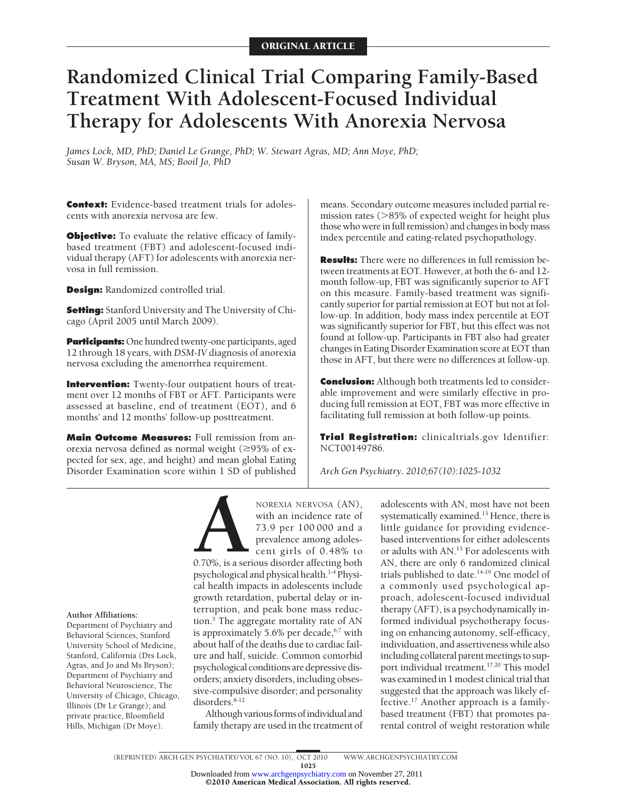# **Randomized Clinical Trial Comparing Family-Based Treatment With Adolescent-Focused Individual Therapy for Adolescents With Anorexia Nervosa**

*James Lock, MD, PhD; Daniel Le Grange, PhD; W. Stewart Agras, MD; Ann Moye, PhD; Susan W. Bryson, MA, MS; Booil Jo, PhD*

**Context:** Evidence-based treatment trials for adolescents with anorexia nervosa are few.

**Objective:** To evaluate the relative efficacy of familybased treatment (FBT) and adolescent-focused individual therapy (AFT) for adolescents with anorexia nervosa in full remission.

**Design:** Randomized controlled trial.

**Setting:** Stanford University and The University of Chicago (April 2005 until March 2009).

**Participants:** One hundred twenty-one participants, aged 12 through 18 years, with *DSM-IV* diagnosis of anorexia nervosa excluding the amenorrhea requirement.

**Intervention:** Twenty-four outpatient hours of treatment over 12 months of FBT or AFT. Participants were assessed at baseline, end of treatment (EOT), and 6 months' and 12 months' follow-up posttreatment.

**Main Outcome Measures:** Full remission from anorexia nervosa defined as normal weight ( $\geq$ 95% of expected for sex, age, and height) and mean global Eating Disorder Examination score within 1 SD of published

means. Secondary outcome measures included partial remission rates ( $>85\%$  of expected weight for height plus those who were in full remission) and changes in body mass index percentile and eating-related psychopathology.

**Results:** There were no differences in full remission between treatments at EOT. However, at both the 6- and 12 month follow-up, FBT was significantly superior to AFT on this measure. Family-based treatment was significantly superior for partial remission at EOT but not at follow-up. In addition, body mass index percentile at EOT was significantly superior for FBT, but this effect was not found at follow-up. Participants in FBT also had greater changes in Eating Disorder Examination score at EOT than those in AFT, but there were no differences at follow-up.

**Conclusion:** Although both treatments led to considerable improvement and were similarly effective in producing full remission at EOT, FBT was more effective in facilitating full remission at both follow-up points.

**Trial Registration:** clinicaltrials.gov Identifier: NCT00149786.

*Arch Gen Psychiatry. 2010;67(10):1025-1032*

NOREXIA NERVOSA (AN),<br>
with an incidence rate of<br>
73.9 per 100 000 and a<br>
prevalence among adoles-<br>
cent girls of 0.48% to<br>
0.70%, is a serious disorder affecting both<br>
prevalence also the three in the prevalence of the pr with an incidence rate of 73.9 per 100 000 and a prevalence among adolescent girls of 0.48% to

psychological and physical health.<sup>1-4</sup> Physical health impacts in adolescents include growth retardation, pubertal delay or interruption, and peak bone mass reduction.<sup>5</sup> The aggregate mortality rate of AN is approximately 5.6% per decade, $6,7$  with about half of the deaths due to cardiac failure and half, suicide. Common comorbid psychological conditions are depressive disorders; anxiety disorders, including obsessive-compulsive disorder; and personality disorders.8-12

Although various forms of individual and family therapy are used in the treatment of

adolescents with AN, most have not been systematically examined.<sup>13</sup> Hence, there is little guidance for providing evidencebased interventions for either adolescents or adults with AN.13 For adolescents with AN, there are only 6 randomized clinical trials published to date.<sup>14-19</sup> One model of a commonly used psychological approach, adolescent-focused individual therapy (AFT), is a psychodynamically informed individual psychotherapy focusing on enhancing autonomy, self-efficacy, individuation, and assertiveness while also including collateral parent meetings to support individual treatment.<sup>17,20</sup> This model was examined in 1 modest clinical trial that suggested that the approach was likely effective.17 Another approach is a familybased treatment (FBT) that promotes parental control of weight restoration while

1025

Downloaded from [www.archgenpsychiatry.com](http://www.archgenpsychiatry.com) on November 27, 2011

©2010 American Medical Association. All rights reserved.

**Author Affiliations:**

Department of Psychiatry and Behavioral Sciences, Stanford University School of Medicine, Stanford, California (Drs Lock, Agras, and Jo and Ms Bryson); Department of Psychiatry and Behavioral Neuroscience, The University of Chicago, Chicago, Illinois (Dr Le Grange); and private practice, Bloomfield Hills, Michigan (Dr Moye).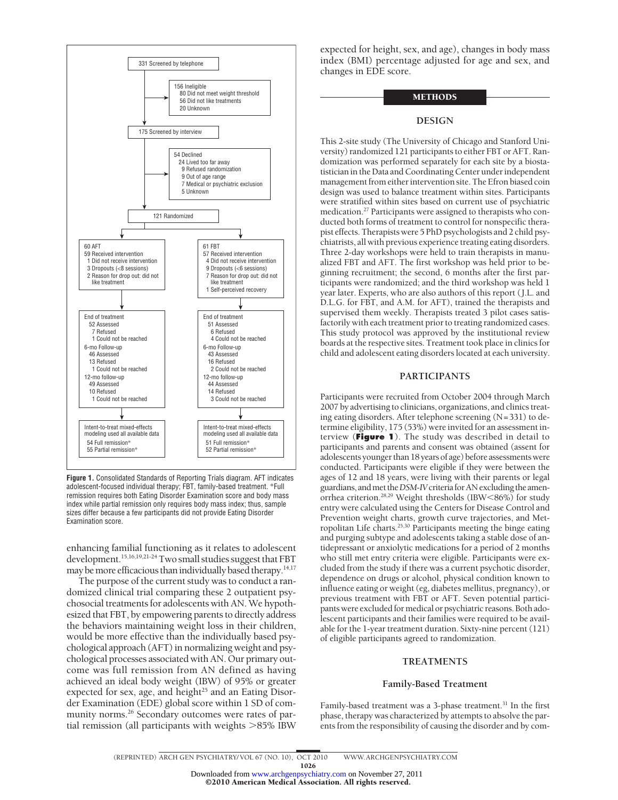

**Figure 1.** Consolidated Standards of Reporting Trials diagram. AFT indicates adolescent-focused individual therapy; FBT, family-based treatment. \*Full remission requires both Eating Disorder Examination score and body mass index while partial remission only requires body mass index; thus, sample sizes differ because a few participants did not provide Eating Disorder Examination score.

enhancing familial functioning as it relates to adolescent development.<sup>15,16,19,21-24</sup> Two small studies suggest that FBT may be more efficacious than individually based therapy.<sup>14,17</sup>

The purpose of the current study was to conduct a randomized clinical trial comparing these 2 outpatient psychosocial treatments for adolescents with AN. We hypothesized that FBT, by empowering parents to directly address the behaviors maintaining weight loss in their children, would be more effective than the individually based psychological approach (AFT) in normalizing weight and psychological processes associated with AN. Our primary outcome was full remission from AN defined as having achieved an ideal body weight (IBW) of 95% or greater expected for sex, age, and height<sup>25</sup> and an Eating Disorder Examination (EDE) global score within 1 SD of community norms.<sup>26</sup> Secondary outcomes were rates of partial remission (all participants with weights  $>85\%$  IBW expected for height, sex, and age), changes in body mass index (BMI) percentage adjusted for age and sex, and changes in EDE score.

#### METHODS

## **DESIGN**

This 2-site study (The University of Chicago and Stanford University) randomized 121 participants to either FBT or AFT. Randomization was performed separately for each site by a biostatistician in the Data and Coordinating Center under independent management from either intervention site. The Efron biased coin design was used to balance treatment within sites. Participants were stratified within sites based on current use of psychiatric medication.27 Participants were assigned to therapists who conducted both forms of treatment to control for nonspecific therapist effects. Therapists were 5 PhD psychologists and 2 child psychiatrists, all with previous experience treating eating disorders. Three 2-day workshops were held to train therapists in manualized FBT and AFT. The first workshop was held prior to beginning recruitment; the second, 6 months after the first participants were randomized; and the third workshop was held 1 year later. Experts, who are also authors of this report (J.L. and D.L.G. for FBT, and A.M. for AFT), trained the therapists and supervised them weekly. Therapists treated 3 pilot cases satisfactorily with each treatment prior to treating randomized cases. This study protocol was approved by the institutional review boards at the respective sites. Treatment took place in clinics for child and adolescent eating disorders located at each university.

## **PARTICIPANTS**

Participants were recruited from October 2004 through March 2007 by advertising to clinicians, organizations, and clinics treating eating disorders. After telephone screening (N=331) to determine eligibility, 175 (53%) were invited for an assessment interview (**Figure 1**). The study was described in detail to participants and parents and consent was obtained (assent for adolescents younger than 18 years of age) before assessments were conducted. Participants were eligible if they were between the ages of 12 and 18 years, were living with their parents or legal guardians, and met the *DSM-IV* criteria for AN excluding the amenorrhea criterion.<sup>28,29</sup> Weight thresholds (IBW<86%) for study entry were calculated using the Centers for Disease Control and Prevention weight charts, growth curve trajectories, and Metropolitan Life charts.<sup>25,30</sup> Participants meeting the binge eating and purging subtype and adolescents taking a stable dose of antidepressant or anxiolytic medications for a period of 2 months who still met entry criteria were eligible. Participants were excluded from the study if there was a current psychotic disorder, dependence on drugs or alcohol, physical condition known to influence eating or weight (eg, diabetes mellitus, pregnancy), or previous treatment with FBT or AFT. Seven potential participants were excluded for medical or psychiatric reasons. Both adolescent participants and their families were required to be available for the 1-year treatment duration. Sixty-nine percent (121) of eligible participants agreed to randomization.

## **TREATMENTS**

#### **Family-Based Treatment**

Family-based treatment was a 3-phase treatment.<sup>31</sup> In the first phase, therapy was characterized by attempts to absolve the parents from the responsibility of causing the disorder and by com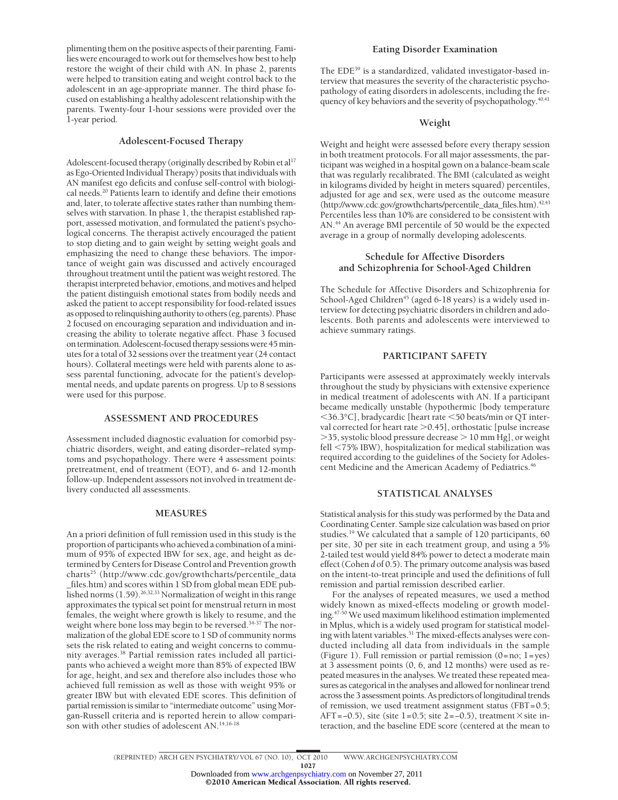plimenting them on the positive aspects of their parenting. Families were encouraged to work out for themselves how best to help restore the weight of their child with AN. In phase 2, parents were helped to transition eating and weight control back to the adolescent in an age-appropriate manner. The third phase focused on establishing a healthy adolescent relationship with the parents. Twenty-four 1-hour sessions were provided over the 1-year period.

## **Adolescent-Focused Therapy**

Adolescent-focused therapy (originally described by Robin et al<sup>17</sup> as Ego-Oriented Individual Therapy) posits that individuals with AN manifest ego deficits and confuse self-control with biological needs.20 Patients learn to identify and define their emotions and, later, to tolerate affective states rather than numbing themselves with starvation. In phase 1, the therapist established rapport, assessed motivation, and formulated the patient's psychological concerns. The therapist actively encouraged the patient to stop dieting and to gain weight by setting weight goals and emphasizing the need to change these behaviors. The importance of weight gain was discussed and actively encouraged throughout treatment until the patient was weight restored. The therapist interpreted behavior, emotions, and motives and helped the patient distinguish emotional states from bodily needs and asked the patient to accept responsibility for food-related issues as opposed to relinquishing authority to others (eg, parents). Phase 2 focused on encouraging separation and individuation and increasing the ability to tolerate negative affect. Phase 3 focused on termination. Adolescent-focused therapy sessions were 45 minutes for a total of 32 sessions over the treatment year (24 contact hours). Collateral meetings were held with parents alone to assess parental functioning, advocate for the patient's developmental needs, and update parents on progress. Up to 8 sessions were used for this purpose.

## **ASSESSMENT AND PROCEDURES**

Assessment included diagnostic evaluation for comorbid psychiatric disorders, weight, and eating disorder–related symptoms and psychopathology. There were 4 assessment points: pretreatment, end of treatment (EOT), and 6- and 12-month follow-up. Independent assessors not involved in treatment delivery conducted all assessments.

## **MEASURES**

An a priori definition of full remission used in this study is the proportion of participants who achieved a combination of a minimum of 95% of expected IBW for sex, age, and height as determined by Centers for Disease Control and Prevention growth charts25 (http://www.cdc.gov/growthcharts/percentile\_data \_files.htm) and scores within 1 SD from global mean EDE published norms (1.59).<sup>26,32,33</sup> Normalization of weight in this range approximates the typical set point for menstrual return in most females, the weight where growth is likely to resume, and the weight where bone loss may begin to be reversed.<sup>34-37</sup> The normalization of the global EDE score to 1 SD of community norms sets the risk related to eating and weight concerns to community averages.38 Partial remission rates included all participants who achieved a weight more than 85% of expected IBW for age, height, and sex and therefore also includes those who achieved full remission as well as those with weight 95% or greater IBW but with elevated EDE scores. This definition of partial remission is similar to "intermediate outcome" using Morgan-Russell criteria and is reported herein to allow comparison with other studies of adolescent AN.<sup>14,16-18</sup>

## **Eating Disorder Examination**

The EDE39 is a standardized, validated investigator-based interview that measures the severity of the characteristic psychopathology of eating disorders in adolescents, including the frequency of key behaviors and the severity of psychopathology.<sup>40,41</sup>

## **Weight**

Weight and height were assessed before every therapy session in both treatment protocols. For all major assessments, the participant was weighed in a hospital gown on a balance-beam scale that was regularly recalibrated. The BMI (calculated as weight in kilograms divided by height in meters squared) percentiles, adjusted for age and sex, were used as the outcome measure (http://www.cdc.gov/growthcharts/percentile\_data\_files.htm).42,43 Percentiles less than 10% are considered to be consistent with AN.44 An average BMI percentile of 50 would be the expected average in a group of normally developing adolescents.

# **Schedule for Affective Disorders and Schizophrenia for School-Aged Children**

The Schedule for Affective Disorders and Schizophrenia for School-Aged Children<sup>45</sup> (aged 6-18 years) is a widely used interview for detecting psychiatric disorders in children and adolescents. Both parents and adolescents were interviewed to achieve summary ratings.

# **PARTICIPANT SAFETY**

Participants were assessed at approximately weekly intervals throughout the study by physicians with extensive experience in medical treatment of adolescents with AN. If a participant became medically unstable (hypothermic [body temperature 36.3°C], bradycardic [heart rate 50 beats/min or QT interval corrected for heart rate  $>$  0.45], orthostatic [pulse increase >35, systolic blood pressure decrease > 10 mm Hg], or weight fell  $\le$ 75% IBW), hospitalization for medical stabilization was required according to the guidelines of the Society for Adolescent Medicine and the American Academy of Pediatrics.<sup>46</sup>

## **STATISTICAL ANALYSES**

Statistical analysis for this study was performed by the Data and Coordinating Center. Sample size calculation was based on prior studies.19 We calculated that a sample of 120 participants, 60 per site, 30 per site in each treatment group, and using a 5% 2-tailed test would yield 84% power to detect a moderate main effect (Cohen *d* of 0.5). The primary outcome analysis was based on the intent-to-treat principle and used the definitions of full remission and partial remission described earlier.

For the analyses of repeated measures, we used a method widely known as mixed-effects modeling or growth modeling.47-50 We used maximum likelihood estimation implemented in Mplus, which is a widely used program for statistical modeling with latent variables.51 The mixed-effects analyses were conducted including all data from individuals in the sample (Figure 1). Full remission or partial remission  $(0=no; 1=yes)$ at 3 assessment points (0, 6, and 12 months) were used as repeated measures in the analyses. We treated these repeated measures as categorical in the analyses and allowed for nonlinear trend across the 3 assessment points. As predictors of longitudinal trends of remission, we used treatment assignment status (FBT=0.5;  $AFT=-0.5$ ), site (site 1=0.5; site 2=-0.5), treatment  $\times$  site interaction, and the baseline EDE score (centered at the mean to

(REPRINTED) ARCH GEN PSYCHIATRY/ VOL 67 (NO. 10), OCT 2010 WWW.ARCHGENPSYCHIATRY.COM 1027 ©2010 American Medical Association. All rights reserved. Downloaded from [www.archgenpsychiatry.com](http://www.archgenpsychiatry.com) on November 27, 2011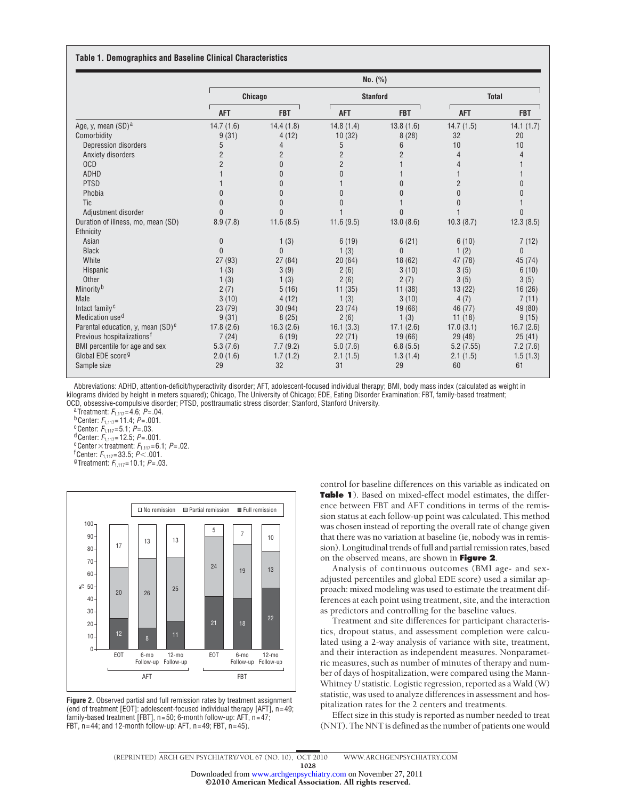#### **Table 1. Demographics and Baseline Clinical Characteristics**

|                                        | No. (%)        |                |                 |                |                |              |  |  |
|----------------------------------------|----------------|----------------|-----------------|----------------|----------------|--------------|--|--|
|                                        | Chicago        |                | <b>Stanford</b> |                | <b>Total</b>   |              |  |  |
|                                        | <b>AFT</b>     | <b>FBT</b>     | <b>AFT</b>      | <b>FBT</b>     | <b>AFT</b>     | <b>FBT</b>   |  |  |
| Age, y, mean (SD) <sup>a</sup>         | 14.7(1.6)      | 14.4(1.8)      | 14.8(1.4)       | 13.8(1.6)      | 14.7(1.5)      | 14.1(1.7)    |  |  |
| Comorbidity                            | 9(31)          | 4(12)          | 10(32)          | 8(28)          | 32             | 20           |  |  |
| Depression disorders                   | 5              | 4              | 5               | 6              | 10             | 10           |  |  |
| Anxiety disorders                      | $\overline{2}$ | $\overline{2}$ | $\overline{2}$  | $\overline{2}$ | 4              | 4            |  |  |
| <b>OCD</b>                             | $\overline{2}$ | $\Omega$       | $\overline{2}$  |                | $\overline{4}$ |              |  |  |
| ADHD                                   |                | $\theta$       | 0               |                |                |              |  |  |
| <b>PTSD</b>                            |                | $\mathbf{0}$   |                 | 0              | $\overline{2}$ |              |  |  |
| Phobia                                 |                | $\Omega$       |                 | U              | $\Omega$       |              |  |  |
| <b>Tic</b>                             | $\theta$       | $\mathbf{0}$   | 0               |                | $\Omega$       |              |  |  |
| Adjustment disorder                    | $\Omega$       | $\theta$       |                 | $\Omega$       |                | $\mathbf{0}$ |  |  |
| Duration of illness, mo, mean (SD)     | 8.9(7.8)       | 11.6(8.5)      | 11.6(9.5)       | 13.0(8.6)      | 10.3(8.7)      | 12.3(8.5)    |  |  |
| Ethnicity                              |                |                |                 |                |                |              |  |  |
| Asian                                  | $\mathbf{0}$   | 1(3)           | 6(19)           | 6(21)          | 6(10)          | 7(12)        |  |  |
| <b>Black</b>                           | $\Omega$       | $\Omega$       | 1(3)            | $\mathbf{0}$   | 1(2)           | $\Omega$     |  |  |
| White                                  | 27(93)         | 27(84)         | 20(64)          | 18 (62)        | 47 (78)        | 45 (74)      |  |  |
| Hispanic                               | 1(3)           | 3(9)           | 2(6)            | 3(10)          | 3(5)           | 6(10)        |  |  |
| Other                                  | 1(3)           | 1(3)           | 2(6)            | 2(7)           | 3(5)           | 3(5)         |  |  |
| Minority <sup>b</sup>                  | 2(7)           | 5(16)          | 11(35)          | 11(38)         | 13(22)         | 16(26)       |  |  |
| Male                                   | 3(10)          | 4(12)          | 1(3)            | 3(10)          | 4(7)           | 7(11)        |  |  |
| Intact family <sup>c</sup>             | 23(79)         | 30(94)         | 23(74)          | 19 (66)        | 46 (77)        | 49 (80)      |  |  |
| Medication use <sup>d</sup>            | 9(31)          | 8(25)          | 2(6)            | 1(3)           | 11(18)         | 9(15)        |  |  |
| Parental education, y, mean $(SD)^e$   | 17.8(2.6)      | 16.3(2.6)      | 16.1(3.3)       | 17.1(2.6)      | 17.0(3.1)      | 16.7(2.6)    |  |  |
| Previous hospitalizations <sup>†</sup> | 7(24)          | 6(19)          | 22(71)          | 19(66)         | 29(48)         | 25(41)       |  |  |
| BMI percentile for age and sex         | 5.3(7.6)       | 7.7(9.2)       | 5.0(7.6)        | 6.8(5.5)       | 5.2(7.55)      | 7.2(7.6)     |  |  |
| Global EDE score <sup>9</sup>          | 2.0(1.6)       | 1.7(1.2)       | 2.1(1.5)        | 1.3(1.4)       | 2.1(1.5)       | 1.5(1.3)     |  |  |
| Sample size                            | 29             | 32             | 31              | 29             | 60             | 61           |  |  |

Abbreviations: ADHD, attention-deficit/hyperactivity disorder; AFT, adolescent-focused individual therapy; BMI, body mass index (calculated as weight in kilograms divided by height in meters squared); Chicago, The University of Chicago; EDE, Eating Disorder Examination; FBT, family-based treatment; OCD, obsessive-compulsive disorder; PTSD, posttraumatic stress disorder; Stanford, Stanford University. aTreatment: *<sup>F</sup>*1,117=4.6; *<sup>P</sup>*=.04.

b Center: *F*<sub>1,117</sub>=11.4; *P*=.001.<br>
cCenter: *F*<sub>1,117</sub>=5.1; *P*=.03.<br>
d Center: *F*<sub>1,117</sub>=12.5; *P*=.001.

 $e^e$ Center  $\times$  treatment:  $F_{1,117}=6.1; P=.02$ .

f Center: *F*1,117=33.5; *P*.001. <sup>g</sup> Treatment: *F*1,117=10.1; *P*=.03.



**Figure 2.** Observed partial and full remission rates by treatment assignment (end of treatment [EOT]: adolescent-focused individual therapy [AFT], n=49; family-based treatment [FBT], n=50; 6-month follow-up: AFT, n=47; FBT,  $n=44$ ; and 12-month follow-up: AFT,  $n=49$ ; FBT,  $n=45$ ).

control for baseline differences on this variable as indicated on **Table 1**). Based on mixed-effect model estimates, the difference between FBT and AFT conditions in terms of the remission status at each follow-up point was calculated. This method was chosen instead of reporting the overall rate of change given that there was no variation at baseline (ie, nobody was in remission). Longitudinal trends of full and partial remission rates, based on the observed means, are shown in **Figure 2**.

Analysis of continuous outcomes (BMI age- and sexadjusted percentiles and global EDE score) used a similar approach: mixed modeling was used to estimate the treatment differences at each point using treatment, site, and the interaction as predictors and controlling for the baseline values.

Treatment and site differences for participant characteristics, dropout status, and assessment completion were calculated using a 2-way analysis of variance with site, treatment, and their interaction as independent measures. Nonparametric measures, such as number of minutes of therapy and number of days of hospitalization, were compared using the Mann-Whitney *U* statistic. Logistic regression, reported as a Wald (W) statistic, was used to analyze differences in assessment and hospitalization rates for the 2 centers and treatments.

Effect size in this study is reported as number needed to treat (NNT). The NNT is defined as the number of patients one would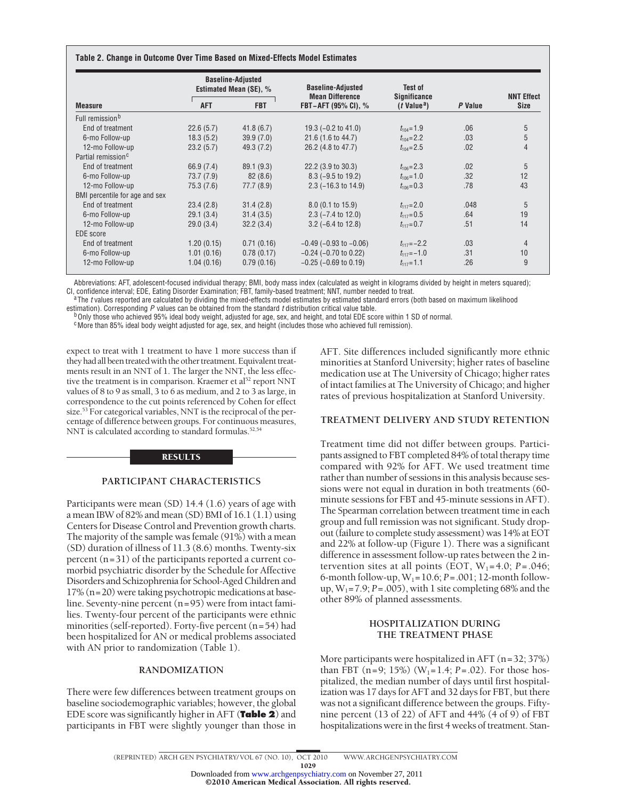| <b>Measure</b>                 | <b>Baseline-Adjusted</b><br>Estimated Mean (SE), % |            | <b>Baseline-Adjusted</b>                             | <b>Test of</b>                                   |         |                                  |
|--------------------------------|----------------------------------------------------|------------|------------------------------------------------------|--------------------------------------------------|---------|----------------------------------|
|                                | <b>AFT</b>                                         | <b>FBT</b> | <b>Mean Difference</b><br><b>FBT-AFT (95% CI), %</b> | <b>Significance</b><br>$(t$ Value <sup>a</sup> ) | P Value | <b>NNT Effect</b><br><b>Size</b> |
| Full remission <sup>b</sup>    |                                                    |            |                                                      |                                                  |         |                                  |
| End of treatment               | 22.6(5.7)                                          | 41.8(6.7)  | 19.3 $(-0.2$ to 41.0)                                | $t_{104} = 1.9$                                  | .06     | 5                                |
| 6-mo Follow-up                 | 18.3(5.2)                                          | 39.9(7.0)  | 21.6 (1.6 to 44.7)                                   | $t_{104} = 2.2$                                  | .03     | 5                                |
| 12-mo Follow-up                | 23.2(5.7)                                          | 49.3 (7.2) | 26.2 (4.8 to 47.7)                                   | $t_{104} = 2.5$                                  | .02     | 4                                |
| Partial remission <sup>c</sup> |                                                    |            |                                                      |                                                  |         |                                  |
| End of treatment               | 66.9 (7.4)                                         | 89.1 (9.3) | 22.2 (3.9 to 30.3)                                   | $t_{106} = 2.3$                                  | .02     | 5                                |
| 6-mo Follow-up                 | 73.7 (7.9)                                         | 82(8.6)    | $8.3$ ( $-9.5$ to 19.2)                              | $t_{106} = 1.0$                                  | .32     | 12                               |
| 12-mo Follow-up                | 75.3 (7.6)                                         | 77.7(8.9)  | $2.3$ ( $-16.3$ to $14.9$ )                          | $t_{106} = 0.3$                                  | .78     | 43                               |
| BMI percentile for age and sex |                                                    |            |                                                      |                                                  |         |                                  |
| End of treatment               | 23.4(2.8)                                          | 31.4(2.8)  | $8.0(0.1 \text{ to } 15.9)$                          | $t_{117} = 2.0$                                  | .048    | 5                                |
| 6-mo Follow-up                 | 29.1(3.4)                                          | 31.4(3.5)  | $2.3$ ( $-7.4$ to 12.0)                              | $t_{117} = 0.5$                                  | .64     | 19                               |
| 12-mo Follow-up                | 29.0(3.4)                                          | 32.2(3.4)  | $3.2$ (-6.4 to 12.8)                                 | $t_{117} = 0.7$                                  | .51     | 14                               |
| EDE score                      |                                                    |            |                                                      |                                                  |         |                                  |
| End of treatment               | 1.20(0.15)                                         | 0.71(0.16) | $-0.49$ ( $-0.93$ to $-0.06$ )                       | $t_{117} = -2.2$                                 | .03     | $\overline{4}$                   |
| 6-mo Follow-up                 | 1.01(0.16)                                         | 0.78(0.17) | $-0.24$ ( $-0.70$ to 0.22)                           | $t_{117} = -1.0$                                 | .31     | 10                               |
| 12-mo Follow-up                | 1.04(0.16)                                         | 0.79(0.16) | $-0.25$ ( $-0.69$ to 0.19)                           | $t_{117} = 1.1$                                  | .26     | 9                                |

Abbreviations: AFT, adolescent-focused individual therapy; BMI, body mass index (calculated as weight in kilograms divided by height in meters squared);<br>CI, confidence interval; EDE, Eating Disorder Examination; FBT, famil

a The tvalues reported are calculated by dividing the mixed-effects model estimates by estimated standard errors (both based on maximum likelihood estimation). Corresponding *P* values can be obtained from the standard *t* distribution critical value table.

 $b$  Only those who achieved 95% ideal body weight, adjusted for age, sex, and height, and total EDE score within 1 SD of normal.

 $c$ More than 85% ideal body weight adjusted for age, sex, and height (includes those who achieved full remission).

expect to treat with 1 treatment to have 1 more success than if they had all been treated with the other treatment. Equivalent treatments result in an NNT of 1. The larger the NNT, the less effective the treatment is in comparison. Kraemer et al<sup>52</sup> report NNT values of 8 to 9 as small, 3 to 6 as medium, and 2 to 3 as large, in correspondence to the cut points referenced by Cohen for effect size.<sup>53</sup> For categorical variables, NNT is the reciprocal of the percentage of difference between groups. For continuous measures, NNT is calculated according to standard formulas.<sup>52,54</sup>

#### **RESULTS**

# **PARTICIPANT CHARACTERISTICS**

Participants were mean (SD) 14.4 (1.6) years of age with a mean IBW of 82% and mean (SD) BMI of 16.1 (1.1) using Centers for Disease Control and Prevention growth charts. The majority of the sample was female (91%) with a mean (SD) duration of illness of 11.3 (8.6) months. Twenty-six percent (n=31) of the participants reported a current comorbid psychiatric disorder by the Schedule for Affective Disorders and Schizophrenia for School-Aged Children and 17% (n=20) were taking psychotropic medications at baseline. Seventy-nine percent (n=95) were from intact families. Twenty-four percent of the participants were ethnic minorities (self-reported). Forty-five percent  $(n=54)$  had been hospitalized for AN or medical problems associated with AN prior to randomization (Table 1).

## **RANDOMIZATION**

There were few differences between treatment groups on baseline sociodemographic variables; however, the global EDE score was significantly higher in AFT (**Table 2**) and participants in FBT were slightly younger than those in

AFT. Site differences included significantly more ethnic minorities at Stanford University; higher rates of baseline medication use at The University of Chicago; higher rates of intact families at The University of Chicago; and higher rates of previous hospitalization at Stanford University.

# **TREATMENT DELIVERY AND STUDY RETENTION**

Treatment time did not differ between groups. Participants assigned to FBT completed 84% of total therapy time compared with 92% for AFT. We used treatment time rather than number of sessions in this analysis because sessions were not equal in duration in both treatments (60 minute sessions for FBT and 45-minute sessions in AFT). The Spearman correlation between treatment time in each group and full remission was not significant. Study dropout (failure to complete study assessment) was 14% at EOT and 22% at follow-up (Figure 1). There was a significant difference in assessment follow-up rates between the 2 intervention sites at all points (EOT,  $W_1$ =4.0; *P*=.046; 6-month follow-up, W1=10.6; *P*=.001; 12-month followup,  $W_1$ =7.9; *P* = .005), with 1 site completing 68% and the other 89% of planned assessments.

# **HOSPITALIZATION DURING THE TREATMENT PHASE**

More participants were hospitalized in AFT (n=32; 37%) than FBT (n=9; 15%) ( $W_1$ =1.4; *P*=.02). For those hospitalized, the median number of days until first hospitalization was 17 days for AFT and 32 days for FBT, but there was not a significant difference between the groups. Fiftynine percent (13 of 22) of AFT and 44% (4 of 9) of FBT hospitalizations were in the first 4 weeks of treatment. Stan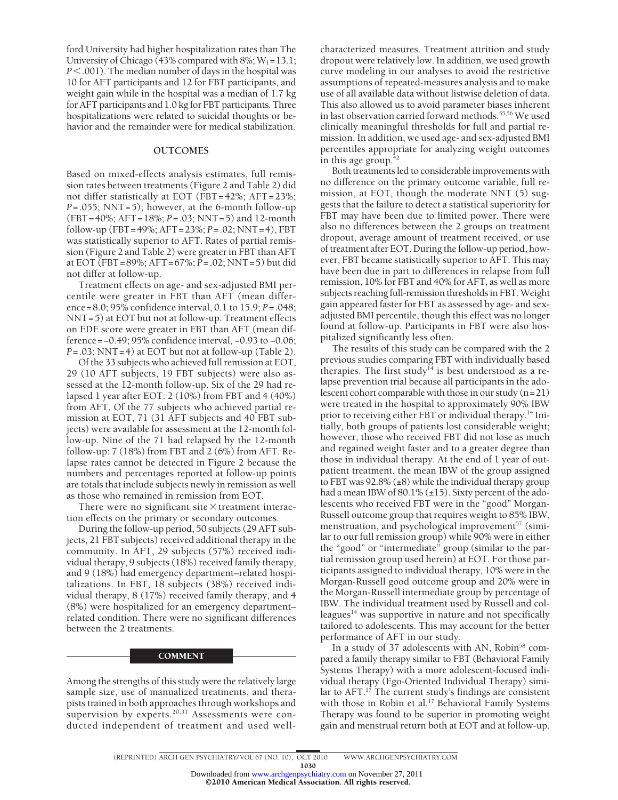ford University had higher hospitalization rates than The University of Chicago (43% compared with  $8\%$ ; W<sub>1</sub>=13.1; *P*<.001). The median number of days in the hospital was 10 for AFT participants and 12 for FBT participants, and weight gain while in the hospital was a median of 1.7 kg for AFT participants and 1.0 kg for FBT participants. Three hospitalizations were related to suicidal thoughts or behavior and the remainder were for medical stabilization.

## **OUTCOMES**

Based on mixed-effects analysis estimates, full remission rates between treatments (Figure 2 and Table 2) did not differ statistically at EOT (FBT=42%; AFT=23%; *P*=.055; NNT=5); however, at the 6-month follow-up (FBT=40%; AFT=18%; *P*=.03; NNT=5) and 12-month follow-up (FBT=49%; AFT=23%; *P*=.02; NNT=4), FBT was statistically superior to AFT. Rates of partial remission (Figure 2 and Table 2) were greater in FBT than AFT at EOT (FBT=89%; AFT=67%; *P*=.02; NNT=5) but did not differ at follow-up.

Treatment effects on age- and sex-adjusted BMI percentile were greater in FBT than AFT (mean difference=8.0; 95% confidence interval, 0.1 to 15.9; *P*=.048; NNT=5) at EOT but not at follow-up. Treatment effects on EDE score were greater in FBT than AFT (mean difference=−0.49; 95% confidence interval, −0.93 to −0.06; *P*=.03; NNT=4) at EOT but not at follow-up (Table 2).

Of the 33 subjects who achieved full remission at EOT, 29 (10 AFT subjects, 19 FBT subjects) were also assessed at the 12-month follow-up. Six of the 29 had relapsed 1 year after EOT: 2 (10%) from FBT and 4 (40%) from AFT. Of the 77 subjects who achieved partial remission at EOT, 71 (31 AFT subjects and 40 FBT subjects) were available for assessment at the 12-month follow-up. Nine of the 71 had relapsed by the 12-month follow-up: 7 (18%) from FBT and 2 (6%) from AFT. Relapse rates cannot be detected in Figure 2 because the numbers and percentages reported at follow-up points are totals that include subjects newly in remission as well as those who remained in remission from EOT.

There were no significant site  $\times$  treatment interaction effects on the primary or secondary outcomes.

During the follow-up period, 50 subjects (29 AFT subjects, 21 FBT subjects) received additional therapy in the community. In AFT, 29 subjects (57%) received individual therapy, 9 subjects (18%) received family therapy, and 9 (18%) had emergency department–related hospitalizations. In FBT, 18 subjects (38%) received individual therapy, 8 (17%) received family therapy, and 4 (8%) were hospitalized for an emergency department– related condition. There were no significant differences between the 2 treatments.

## **COMMENT**

Among the strengths of this study were the relatively large sample size, use of manualized treatments, and therapists trained in both approaches through workshops and supervision by experts.<sup>20,31</sup> Assessments were conducted independent of treatment and used wellcharacterized measures. Treatment attrition and study dropout were relatively low. In addition, we used growth curve modeling in our analyses to avoid the restrictive assumptions of repeated-measures analysis and to make use of all available data without listwise deletion of data. This also allowed us to avoid parameter biases inherent in last observation carried forward methods.<sup>55,56</sup> We used clinically meaningful thresholds for full and partial remission. In addition, we used age- and sex-adjusted BMI percentiles appropriate for analyzing weight outcomes in this age group. $42$ 

Both treatments led to considerable improvements with no difference on the primary outcome variable, full remission, at EOT, though the moderate NNT (5) suggests that the failure to detect a statistical superiority for FBT may have been due to limited power. There were also no differences between the 2 groups on treatment dropout, average amount of treatment received, or use of treatment after EOT. During the follow-up period, however, FBT became statistically superior to AFT. This may have been due in part to differences in relapse from full remission, 10% for FBT and 40% for AFT, as well as more subjects reaching full-remission thresholds in FBT. Weight gain appeared faster for FBT as assessed by age- and sexadjusted BMI percentile, though this effect was no longer found at follow-up. Participants in FBT were also hospitalized significantly less often.

The results of this study can be compared with the 2 previous studies comparing FBT with individually based therapies. The first study<sup>14</sup> is best understood as a relapse prevention trial because all participants in the adolescent cohort comparable with those in our study (n=21) were treated in the hospital to approximately 90% IBW prior to receiving either FBT or individual therapy.14 Initially, both groups of patients lost considerable weight; however, those who received FBT did not lose as much and regained weight faster and to a greater degree than those in individual therapy. At the end of 1 year of outpatient treatment, the mean IBW of the group assigned to FBT was  $92.8\%$  ( $\pm 8$ ) while the individual therapy group had a mean IBW of 80.1%  $(\pm 15)$ . Sixty percent of the adolescents who received FBT were in the "good" Morgan-Russell outcome group that requires weight to 85% IBW, menstruation, and psychological improvement<sup>57</sup> (similar to our full remission group) while 90% were in either the "good" or "intermediate" group (similar to the partial remission group used herein) at EOT. For those participants assigned to individual therapy, 10% were in the Morgan-Russell good outcome group and 20% were in the Morgan-Russell intermediate group by percentage of IBW. The individual treatment used by Russell and colleagues<sup>14</sup> was supportive in nature and not specifically tailored to adolescents. This may account for the better performance of AFT in our study.

In a study of 37 adolescents with AN, Robin<sup>58</sup> compared a family therapy similar to FBT (Behavioral Family Systems Therapy) with a more adolescent-focused individual therapy (Ego-Oriented Individual Therapy) similar to  $AFT$ .<sup>17</sup> The current study's findings are consistent with those in Robin et al.<sup>17</sup> Behavioral Family Systems Therapy was found to be superior in promoting weight gain and menstrual return both at EOT and at follow-up.

Downloaded from [www.archgenpsychiatry.com](http://www.archgenpsychiatry.com) on November 27, 2011

©2010 American Medical Association. All rights reserved.

<sup>(</sup>REPRINTED) ARCH GEN PSYCHIATRY/ VOL 67 (NO. 10), OCT 2010 WWW.ARCHGENPSYCHIATRY.COM 1030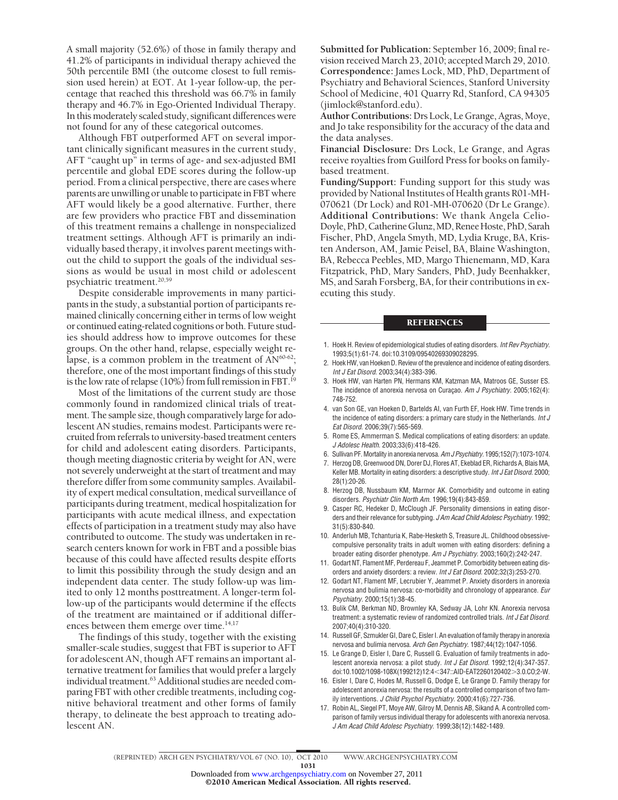A small majority (52.6%) of those in family therapy and 41.2% of participants in individual therapy achieved the 50th percentile BMI (the outcome closest to full remission used herein) at EOT. At 1-year follow-up, the percentage that reached this threshold was 66.7% in family therapy and 46.7% in Ego-Oriented Individual Therapy. In this moderately scaled study, significant differences were not found for any of these categorical outcomes.

Although FBT outperformed AFT on several important clinically significant measures in the current study, AFT "caught up" in terms of age- and sex-adjusted BMI percentile and global EDE scores during the follow-up period. From a clinical perspective, there are cases where parents are unwilling or unable to participate in FBT where AFT would likely be a good alternative. Further, there are few providers who practice FBT and dissemination of this treatment remains a challenge in nonspecialized treatment settings. Although AFT is primarily an individually based therapy, it involves parent meetings without the child to support the goals of the individual sessions as would be usual in most child or adolescent psychiatric treatment.<sup>20,59</sup>

Despite considerable improvements in many participants in the study, a substantial portion of participants remained clinically concerning either in terms of low weight or continued eating-related cognitions or both. Future studies should address how to improve outcomes for these groups. On the other hand, relapse, especially weight relapse, is a common problem in the treatment of  $AN^{60-62}$ ; therefore, one of the most important findings of this study is the low rate of relapse (10%) from full remission in FBT.<sup>19</sup>

Most of the limitations of the current study are those commonly found in randomized clinical trials of treatment. The sample size, though comparatively large for adolescent AN studies, remains modest. Participants were recruited from referrals to university-based treatment centers for child and adolescent eating disorders. Participants, though meeting diagnostic criteria by weight for AN, were not severely underweight at the start of treatment and may therefore differ from some community samples. Availability of expert medical consultation, medical surveillance of participants during treatment, medical hospitalization for participants with acute medical illness, and expectation effects of participation in a treatment study may also have contributed to outcome. The study was undertaken in research centers known for work in FBT and a possible bias because of this could have affected results despite efforts to limit this possibility through the study design and an independent data center. The study follow-up was limited to only 12 months posttreatment. A longer-term follow-up of the participants would determine if the effects of the treatment are maintained or if additional differences between them emerge over time.<sup>14,17</sup>

The findings of this study, together with the existing smaller-scale studies, suggest that FBT is superior to AFT for adolescent AN, though AFT remains an important alternative treatment for families that would prefer a largely individual treatment.<sup>63</sup> Additional studies are needed comparing FBT with other credible treatments, including cognitive behavioral treatment and other forms of family therapy, to delineate the best approach to treating adolescent AN.

**Submitted for Publication:** September 16, 2009; final revision received March 23, 2010; accepted March 29, 2010. **Correspondence:** James Lock, MD, PhD, Department of Psychiatry and Behavioral Sciences, Stanford University School of Medicine, 401 Quarry Rd, Stanford, CA 94305 (jimlock@stanford.edu).

**Author Contributions:** Drs Lock, Le Grange, Agras, Moye, and Jo take responsibility for the accuracy of the data and the data analyses.

**Financial Disclosure:** Drs Lock, Le Grange, and Agras receive royalties from Guilford Press for books on familybased treatment.

**Funding/Support:** Funding support for this study was provided by National Institutes of Health grants R01-MH-070621 (Dr Lock) and R01-MH-070620 (Dr Le Grange). **Additional Contributions:** We thank Angela Celio-Doyle, PhD, Catherine Glunz, MD, Renee Hoste, PhD, Sarah Fischer, PhD, Angela Smyth, MD, Lydia Kruge, BA, Kristen Anderson, AM, Jamie Peisel, BA, Blaine Washington, BA, Rebecca Peebles, MD, Margo Thienemann, MD, Kara Fitzpatrick, PhD, Mary Sanders, PhD, Judy Beenhakker, MS, and Sarah Forsberg, BA, for their contributions in executing this study.

#### **REFERENCES**

- 1. Hoek H. Review of epidemiological studies of eating disorders. *Int Rev Psychiatry*. 1993;5(1):61-74. doi:10.3109/09540269309028295.
- 2. Hoek HW, van Hoeken D. Review of the prevalence and incidence of eating disorders. *Int J Eat Disord*. 2003;34(4):383-396.
- 3. Hoek HW, van Harten PN, Hermans KM, Katzman MA, Matroos GE, Susser ES. The incidence of anorexia nervosa on Curaçao. Am J Psychiatry. 2005;162(4): 748-752.
- 4. van Son GE, van Hoeken D, Bartelds AI, van Furth EF, Hoek HW. Time trends in the incidence of eating disorders: a primary care study in the Netherlands. *Int J Eat Disord*. 2006;39(7):565-569.
- 5. Rome ES, Ammerman S. Medical complications of eating disorders: an update. *J Adolesc Health*. 2003;33(6):418-426.
- 6. Sullivan PF. Mortality in anorexia nervosa. *Am J Psychiatry*. 1995;152(7):1073-1074.
- 7. Herzog DB, Greenwood DN, Dorer DJ, Flores AT, Ekeblad ER, Richards A, Blais MA, Keller MB. Mortality in eating disorders: a descriptive study. *Int J Eat Disord*. 2000; 28(1):20-26.
- 8. Herzog DB, Nussbaum KM, Marmor AK. Comorbidity and outcome in eating disorders. *Psychiatr Clin North Am*. 1996;19(4):843-859.
- 9. Casper RC, Hedeker D, McClough JF. Personality dimensions in eating disorders and their relevance for subtyping. *J Am Acad Child Adolesc Psychiatry*. 1992; 31(5):830-840.
- 10. Anderluh MB, Tchanturia K, Rabe-Hesketh S, Treasure JL. Childhood obsessivecompulsive personality traits in adult women with eating disorders: defining a broader eating disorder phenotype. *Am J Psychiatry*. 2003;160(2):242-247.
- 11. Godart NT, Flament MF, Perdereau F, Jeammet P. Comorbidity between eating disorders and anxiety disorders: a review. *Int J Eat Disord*. 2002;32(3):253-270.
- 12. Godart NT, Flament MF, Lecrubier Y, Jeammet P. Anxiety disorders in anorexia nervosa and bulimia nervosa: co-morbidity and chronology of appearance. *Eur Psychiatry*. 2000;15(1):38-45.
- 13. Bulik CM, Berkman ND, Brownley KA, Sedway JA, Lohr KN. Anorexia nervosa treatment: a systematic review of randomized controlled trials. *Int J Eat Disord*. 2007;40(4):310-320.
- 14. Russell GF, Szmukler GI, Dare C, Eisler I. An evaluation of family therapy in anorexia nervosa and bulimia nervosa. *Arch Gen Psychiatry*. 1987;44(12):1047-1056.
- 15. Le Grange D, Eisler I, Dare C, Russell G. Evaluation of family treatments in adolescent anorexia nervosa: a pilot study. *Int J Eat Disord*. 1992;12(4):347-357. doi:10.1002/1098-108X(199212)12:4<347::AID-EAT2260120402>3.0.CO;2-W.
- 16. Eisler I, Dare C, Hodes M, Russell G, Dodge E, Le Grange D. Family therapy for adolescent anorexia nervosa: the results of a controlled comparison of two family interventions. *J Child Psychol Psychiatry*. 2000;41(6):727-736.
- 17. Robin AL, Siegel PT, Moye AW, Gilroy M, Dennis AB, Sikand A. A controlled comparison of family versus individual therapy for adolescents with anorexia nervosa. *J Am Acad Child Adolesc Psychiatry*. 1999;38(12):1482-1489.

(REPRINTED) ARCH GEN PSYCHIATRY/ VOL 67 (NO. 10), OCT 2010 WWW.ARCHGENPSYCHIATRY.COM

1031

Downloaded from [www.archgenpsychiatry.com](http://www.archgenpsychiatry.com) on November 27, 2011